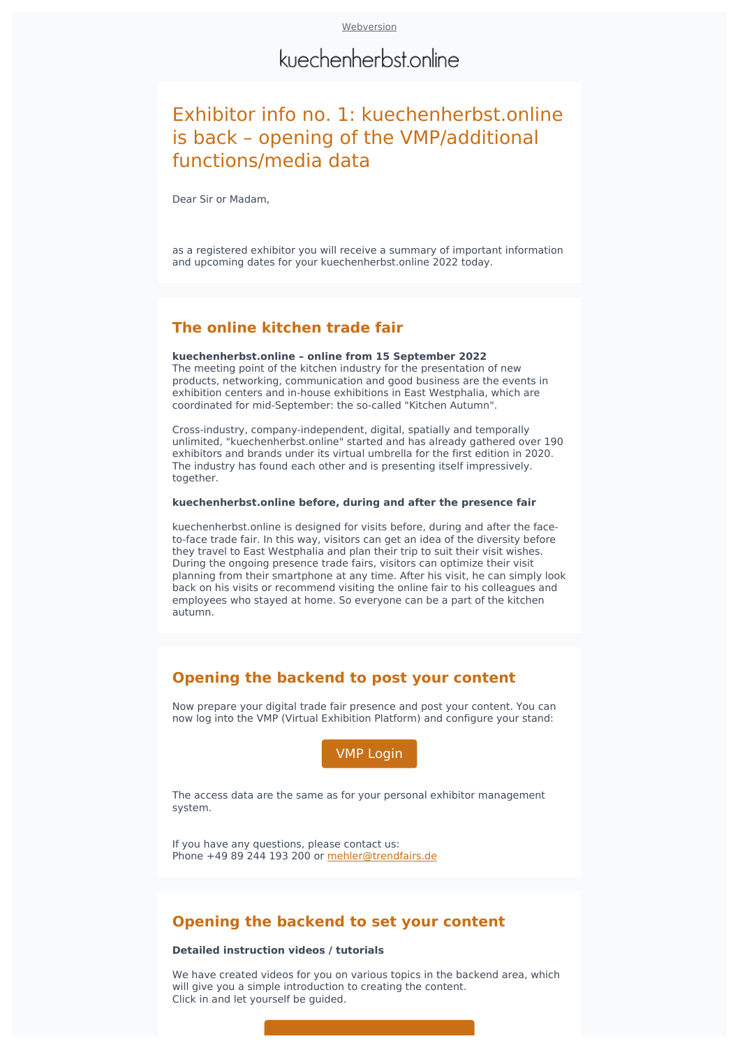# kuechenherbst.online

# Exhibitor info no. 1: kuechenherbst.online is back - opening of the VMP/additional functions/media data

Dear Sir or Madam,

as a registered exhibitor you will receive a summary of important information and upcoming dates for your kuechenherbst.online 2022 today.

## **The online kitchen trade fair**

### **kuechenherbst.online – online from 15 September 2022**

The meeting point of the kitchen industry for the presentation of new products, networking, communication and good business are the events in exhibition centers and in-house exhibitions in East Westphalia, which are coordinated for mid-September: the so-called "Kitchen Autumn".

Cross-industry, company-independent, digital, spatially and temporally unlimited, "kuechenherbst.online" started and has already gathered over 190 exhibitors and brands under its virtual umbrella for the first edition in 2020. The industry has found each other and is presenting itself impressively. together.

#### **kuechenherbst.online before, during and after the presence fair**

kuechenherbst.online is designed for visits before, during and after the faceto-face trade fair. In this way, visitors can get an idea of the diversity before they travel to East Westphalia and plan their trip to suit their visit wishes. During the ongoing presence trade fairs, visitors can optimize their visit planning from their smartphone at any time. After his visit, he can simply look back on his visits or recommend visiting the online fair to his colleagues and employees who stayed at home. So everyone can be a part of the kitchen autumn.

### **Opening the backend to post your content**

Now prepare your digital trade fair presence and post your content. You can now log into the VMP (Virtual Exhibition Platform) and configure your stand:

**VMP** Login

The access data are the same as for your personal exhibitor management system.

If you have any questions, please contact us: Phone +49 89 244 193 200 or mehler@trendfairs.de

### **Opening the backend to set your content**

### **Detailed instruction videos / tutorials**

We have created videos for you on various topics in the backend area, which will give you a simple introduction to creating the content. Click in and let yourself be quided.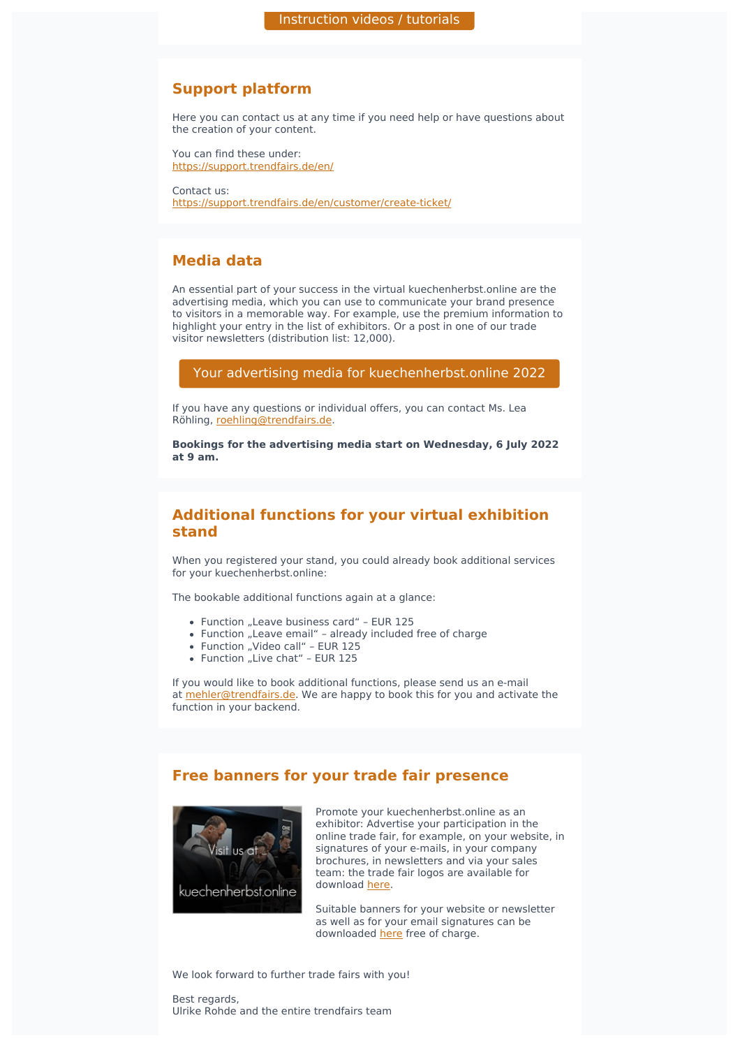# **Support platform**

Here you can contact us at any time if you need help or have questions about the creation of your content.

You can find these under: [https://support.trendfairs.de/en/](https://support.trendfairs.de/en/?utm_source=sendinblue&utm_campaign=Exhibitor%20info%20No%201%20kuechenherbstonline%20is%20back&utm_medium=email)

Contact us: [https://support.trendfairs.de/en/customer/create-ticket/](https://support.trendfairs.de/en/customer/create-ticket/?utm_source=sendinblue&utm_campaign=Exhibitor%20info%20No%201%20kuechenherbstonline%20is%20back&utm_medium=email)

# **Media data**

An essential part of your success in the virtual kuechenherbst.online are the advertising media, which you can use to communicate your brand presence to visitors in a memorable way. For example, use the premium information to highlight your entry in the list of exhibitors. Or a post in one of our trade visitor newsletters (distribution list: 12,000).

### Your advertising media for [kuechenherbst.online](https://kuechenherbst.online/files/data/kuechenherbst/downloads/aussteller/kuechenherbst_2022_mediadaten_en.pdf?utm_source=sendinblue&utm_campaign=Exhibitor%20info%20No%201%20kuechenherbstonline%20is%20back&utm_medium=email) 2022

If you have any questions or individual offers, you can contact Ms. Lea Röhling, [roehling@trendfairs.de.](mailto:roehling@trendfairs.de?subject=Advertising%20media%20kuechenherbst.online%202022&body=Dear%20Ms.%20R%C3%B6hling%2C%0A%0A)

**Bookings for the advertising media start on Wednesday, 6 July 2022 at 9 am.**

# **Additional functions for your virtual exhibition stand**

When you registered your stand, you could already book additional services for your kuechenherbst.online:

The bookable additional functions again at a glance:

- Function "Leave business card" EUR 125
- Function "Leave email" already included free of charge
- Function "Video call" EUR 125
- $\bullet$  Function "Live chat" EUR 125

If you would like to book additional functions, please send us an e-mail at [mehler@trendfairs.de.](mailto:mehler@trendfairs.de?subject=kuechenherbst.online%202022%20-%20Booking%20additional%20functions&body=Dear%20Mrs.%20Mehler%2C%0A%0A) We are happy to book this for you and activate the function in your backend.

# **Free banners for your trade fair presence**



Promote your kuechenherbst.online as an exhibitor: Advertise your participation in the online trade fair, for example, on your website, in signatures of your e-mails, in your company brochures, in newsletters and via your sales team: the trade fair logos are available for download [here.](https://kuechenherbst.online/presse/?file=files/data/kuechenherbst/presse/Logo_kuechenherbstonline.zip&utm_source=sendinblue&utm_campaign=Exhibitor%20info%20No%201%20kuechenherbstonline%20is%20back&utm_medium=email)

Suitable banners for your website or newsletter as well as for your email signatures can be downloaded [here](https://kuechenherbst.online/files/data/kuechenherbst/downloads/aussteller/banner/en/kuechenherbst_2022_banner_aussteller_EN.zip?utm_source=sendinblue&utm_campaign=Exhibitor%20info%20No%201%20kuechenherbstonline%20is%20back&utm_medium=email) free of charge.

We look forward to further trade fairs with you!

Best regards, Ulrike Rohde and the entire trendfairs team